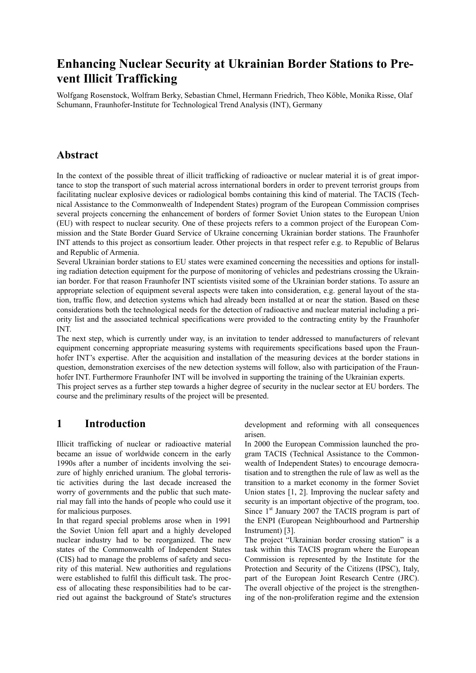## **Enhancing Nuclear Security at Ukrainian Border Stations to Prevent Illicit Trafficking**

Wolfgang Rosenstock, Wolfram Berky, Sebastian Chmel, Hermann Friedrich, Theo Köble, Monika Risse, Olaf Schumann, Fraunhofer-Institute for Technological Trend Analysis (INT), Germany

## **Abstract**

In the context of the possible threat of illicit trafficking of radioactive or nuclear material it is of great importance to stop the transport of such material across international borders in order to prevent terrorist groups from facilitating nuclear explosive devices or radiological bombs containing this kind of material. The TACIS (Technical Assistance to the Commonwealth of Independent States) program of the European Commission comprises several projects concerning the enhancement of borders of former Soviet Union states to the European Union (EU) with respect to nuclear security. One of these projects refers to a common project of the European Commission and the State Border Guard Service of Ukraine concerning Ukrainian border stations. The Fraunhofer INT attends to this project as consortium leader. Other projects in that respect refer e.g. to Republic of Belarus and Republic of Armenia.

Several Ukrainian border stations to EU states were examined concerning the necessities and options for installing radiation detection equipment for the purpose of monitoring of vehicles and pedestrians crossing the Ukrainian border. For that reason Fraunhofer INT scientists visited some of the Ukrainian border stations. To assure an appropriate selection of equipment several aspects were taken into consideration, e.g. general layout of the station, traffic flow, and detection systems which had already been installed at or near the station. Based on these considerations both the technological needs for the detection of radioactive and nuclear material including a priority list and the associated technical specifications were provided to the contracting entity by the Fraunhofer INT.

The next step, which is currently under way, is an invitation to tender addressed to manufacturers of relevant equipment concerning appropriate measuring systems with requirements specifications based upon the Fraunhofer INT's expertise. After the acquisition and installation of the measuring devices at the border stations in question, demonstration exercises of the new detection systems will follow, also with participation of the Fraunhofer INT. Furthermore Fraunhofer INT will be involved in supporting the training of the Ukrainian experts.

This project serves as a further step towards a higher degree of security in the nuclear sector at EU borders. The course and the preliminary results of the project will be presented.

## **1 Introduction**

Illicit trafficking of nuclear or radioactive material became an issue of worldwide concern in the early 1990s after a number of incidents involving the seizure of highly enriched uranium. The global terroristic activities during the last decade increased the worry of governments and the public that such material may fall into the hands of people who could use it for malicious purposes.

In that regard special problems arose when in 1991 the Soviet Union fell apart and a highly developed nuclear industry had to be reorganized. The new states of the Commonwealth of Independent States (CIS) had to manage the problems of safety and security of this material. New authorities and regulations were established to fulfil this difficult task. The process of allocating these responsibilities had to be carried out against the background of State's structures development and reforming with all consequences arisen.

In 2000 the European Commission launched the program TACIS (Technical Assistance to the Commonwealth of Independent States) to encourage democratisation and to strengthen the rule of law as well as the transition to a market economy in the former Soviet Union states [1, 2]. Improving the nuclear safety and security is an important objective of the program, too. Since  $1<sup>st</sup>$  January 2007 the TACIS program is part of the ENPI (European Neighbourhood and Partnership Instrument) [3].

The project "Ukrainian border crossing station" is a task within this TACIS program where the European Commission is represented by the Institute for the Protection and Security of the Citizens (IPSC), Italy, part of the European Joint Research Centre (JRC). The overall objective of the project is the strengthening of the non-proliferation regime and the extension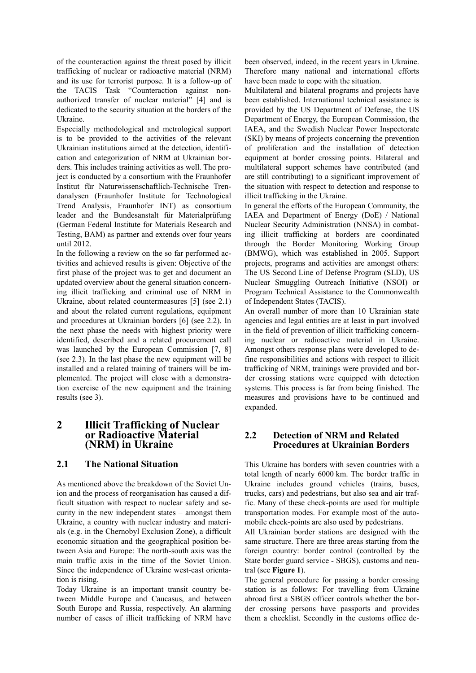of the counteraction against the threat posed by illicit trafficking of nuclear or radioactive material (NRM) and its use for terrorist purpose. It is a follow-up of the TACIS Task "Counteraction against nonauthorized transfer of nuclear material" [4] and is dedicated to the security situation at the borders of the Ukraine.

Especially methodological and metrological support is to be provided to the activities of the relevant Ukrainian institutions aimed at the detection, identification and categorization of NRM at Ukrainian borders. This includes training activities as well. The project is conducted by a consortium with the Fraunhofer Institut für Naturwissenschaftlich-Technische Trendanalysen (Fraunhofer Institute for Technological Trend Analysis, Fraunhofer INT) as consortium leader and the Bundesanstalt für Materialprüfung (German Federal Institute for Materials Research and Testing, BAM) as partner and extends over four years until 2012.

In the following a review on the so far performed activities and achieved results is given: Objective of the first phase of the project was to get and document an updated overview about the general situation concerning illicit trafficking and criminal use of NRM in Ukraine, about related countermeasures [5] (see 2.1) and about the related current regulations, equipment and procedures at Ukrainian borders [6] (see 2.2). In the next phase the needs with highest priority were identified, described and a related procurement call was launched by the European Commission [7, 8] (see 2.3). In the last phase the new equipment will be installed and a related training of trainers will be implemented. The project will close with a demonstration exercise of the new equipment and the training results (see 3).

# **2 Illicit Trafficking of Nuclear or Radioactive Material (NRM) in Ukraine**

#### **2.1 The National Situation**

As mentioned above the breakdown of the Soviet Union and the process of reorganisation has caused a difficult situation with respect to nuclear safety and security in the new independent states – amongst them Ukraine, a country with nuclear industry and materials (e.g. in the Chernobyl Exclusion Zone), a difficult economic situation and the geographical position between Asia and Europe: The north-south axis was the main traffic axis in the time of the Soviet Union. Since the independence of Ukraine west-east orientation is rising.

Today Ukraine is an important transit country between Middle Europe and Caucasus, and between South Europe and Russia, respectively. An alarming number of cases of illicit trafficking of NRM have been observed, indeed, in the recent years in Ukraine. Therefore many national and international efforts have been made to cope with the situation.

Multilateral and bilateral programs and projects have been established. International technical assistance is provided by the US Department of Defense, the US Department of Energy, the European Commission, the IAEA, and the Swedish Nuclear Power Inspectorate (SKI) by means of projects concerning the prevention of proliferation and the installation of detection equipment at border crossing points. Bilateral and multilateral support schemes have contributed (and are still contributing) to a significant improvement of the situation with respect to detection and response to illicit trafficking in the Ukraine.

In general the efforts of the European Community, the IAEA and Department of Energy (DoE) / National Nuclear Security Administration (NNSA) in combating illicit trafficking at borders are coordinated through the Border Monitoring Working Group (BMWG), which was established in 2005. Support projects, programs and activities are amongst others: The US Second Line of Defense Program (SLD), US Nuclear Smuggling Outreach Initiative (NSOI) or Program Technical Assistance to the Commonwealth of Independent States (TACIS).

An overall number of more than 10 Ukrainian state agencies and legal entities are at least in part involved in the field of prevention of illicit trafficking concerning nuclear or radioactive material in Ukraine. Amongst others response plans were developed to define responsibilities and actions with respect to illicit trafficking of NRM, trainings were provided and border crossing stations were equipped with detection systems. This process is far from being finished. The measures and provisions have to be continued and expanded.

#### **2.2 Detection of NRM and Related Procedures at Ukrainian Borders**

This Ukraine has borders with seven countries with a total length of nearly 6000 km. The border traffic in Ukraine includes ground vehicles (trains, buses, trucks, cars) and pedestrians, but also sea and air traffic. Many of these check-points are used for multiple transportation modes. For example most of the automobile check-points are also used by pedestrians.

All Ukrainian border stations are designed with the same structure. There are three areas starting from the foreign country: border control (controlled by the State border guard service - SBGS), customs and neutral (see **Figure 1**).

The general procedure for passing a border crossing station is as follows: For travelling from Ukraine abroad first a SBGS officer controls whether the border crossing persons have passports and provides them a checklist. Secondly in the customs office de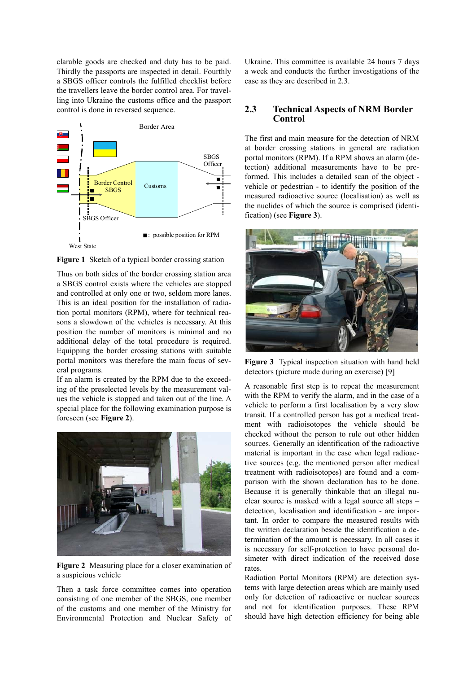clarable goods are checked and duty has to be paid. Thirdly the passports are inspected in detail. Fourthly a SBGS officer controls the fulfilled checklist before the travellers leave the border control area. For travelling into Ukraine the customs office and the passport control is done in reversed sequence.



**Figure 1** Sketch of a typical border crossing station

Thus on both sides of the border crossing station area a SBGS control exists where the vehicles are stopped and controlled at only one or two, seldom more lanes. This is an ideal position for the installation of radiation portal monitors (RPM), where for technical reasons a slowdown of the vehicles is necessary. At this position the number of monitors is minimal and no additional delay of the total procedure is required. Equipping the border crossing stations with suitable portal monitors was therefore the main focus of several programs.

If an alarm is created by the RPM due to the exceeding of the preselected levels by the measurement values the vehicle is stopped and taken out of the line. A special place for the following examination purpose is foreseen (see **Figure 2**).



**Figure 2** Measuring place for a closer examination of a suspicious vehicle

Then a task force committee comes into operation consisting of one member of the SBGS, one member of the customs and one member of the Ministry for Environmental Protection and Nuclear Safety of Ukraine. This committee is available 24 hours 7 days a week and conducts the further investigations of the case as they are described in 2.3.

#### **2.3 Technical Aspects of NRM Border Control**

The first and main measure for the detection of NRM at border crossing stations in general are radiation portal monitors (RPM). If a RPM shows an alarm (detection) additional measurements have to be preformed. This includes a detailed scan of the object vehicle or pedestrian - to identify the position of the measured radioactive source (localisation) as well as the nuclides of which the source is comprised (identification) (see **Figure 3**).



**Figure 3** Typical inspection situation with hand held detectors (picture made during an exercise) [9]

A reasonable first step is to repeat the measurement with the RPM to verify the alarm, and in the case of a vehicle to perform a first localisation by a very slow transit. If a controlled person has got a medical treatment with radioisotopes the vehicle should be checked without the person to rule out other hidden sources. Generally an identification of the radioactive material is important in the case when legal radioactive sources (e.g. the mentioned person after medical treatment with radioisotopes) are found and a comparison with the shown declaration has to be done. Because it is generally thinkable that an illegal nuclear source is masked with a legal source all steps – detection, localisation and identification - are important. In order to compare the measured results with the written declaration beside the identification a determination of the amount is necessary. In all cases it is necessary for self-protection to have personal dosimeter with direct indication of the received dose rates.

Radiation Portal Monitors (RPM) are detection systems with large detection areas which are mainly used only for detection of radioactive or nuclear sources and not for identification purposes. These RPM should have high detection efficiency for being able